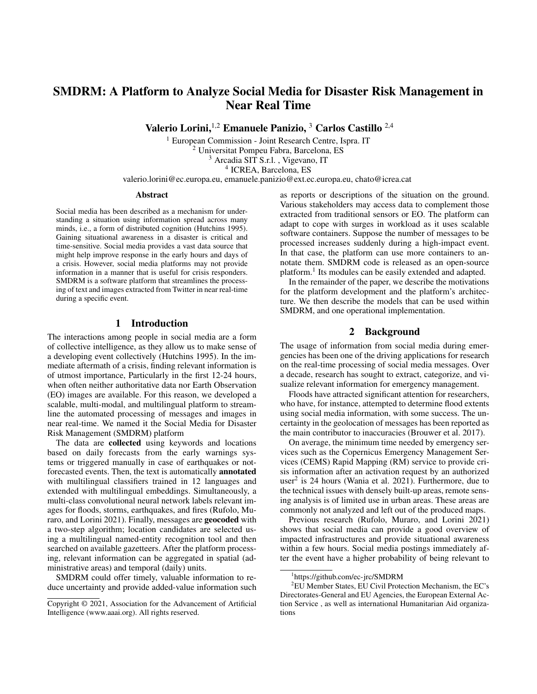# SMDRM: A Platform to Analyze Social Media for Disaster Risk Management in Near Real Time

Valerio Lorini,1,2 Emanuele Panizio, <sup>3</sup> Carlos Castillo 2,4

<sup>1</sup> European Commission - Joint Research Centre, Ispra. IT Universitat Pompeu Fabra, Barcelona, ES Arcadia SIT S.r.l. , Vigevano, IT ICREA, Barcelona, ES

valerio.lorini@ec.europa.eu, emanuele.panizio@ext.ec.europa.eu, chato@icrea.cat

#### Abstract

Social media has been described as a mechanism for understanding a situation using information spread across many minds, i.e., a form of distributed cognition (Hutchins 1995). Gaining situational awareness in a disaster is critical and time-sensitive. Social media provides a vast data source that might help improve response in the early hours and days of a crisis. However, social media platforms may not provide information in a manner that is useful for crisis responders. SMDRM is a software platform that streamlines the processing of text and images extracted from Twitter in near real-time during a specific event.

## 1 Introduction

The interactions among people in social media are a form of collective intelligence, as they allow us to make sense of a developing event collectively (Hutchins 1995). In the immediate aftermath of a crisis, finding relevant information is of utmost importance, Particularly in the first 12-24 hours, when often neither authoritative data nor Earth Observation (EO) images are available. For this reason, we developed a scalable, multi-modal, and multilingual platform to streamline the automated processing of messages and images in near real-time. We named it the Social Media for Disaster Risk Management (SMDRM) platform

The data are collected using keywords and locations based on daily forecasts from the early warnings systems or triggered manually in case of earthquakes or notforecasted events. Then, the text is automatically annotated with multilingual classifiers trained in 12 languages and extended with multilingual embeddings. Simultaneously, a multi-class convolutional neural network labels relevant images for floods, storms, earthquakes, and fires (Rufolo, Muraro, and Lorini 2021). Finally, messages are geocoded with a two-step algorithm; location candidates are selected using a multilingual named-entity recognition tool and then searched on available gazetteers. After the platform processing, relevant information can be aggregated in spatial (administrative areas) and temporal (daily) units.

SMDRM could offer timely, valuable information to reduce uncertainty and provide added-value information such as reports or descriptions of the situation on the ground. Various stakeholders may access data to complement those extracted from traditional sensors or EO. The platform can adapt to cope with surges in workload as it uses scalable software containers. Suppose the number of messages to be processed increases suddenly during a high-impact event. In that case, the platform can use more containers to annotate them. SMDRM code is released as an open-source platform.<sup>1</sup> Its modules can be easily extended and adapted.

In the remainder of the paper, we describe the motivations for the platform development and the platform's architecture. We then describe the models that can be used within SMDRM, and one operational implementation.

## 2 Background

The usage of information from social media during emergencies has been one of the driving applications for research on the real-time processing of social media messages. Over a decade, research has sought to extract, categorize, and visualize relevant information for emergency management.

Floods have attracted significant attention for researchers, who have, for instance, attempted to determine flood extents using social media information, with some success. The uncertainty in the geolocation of messages has been reported as the main contributor to inaccuracies (Brouwer et al. 2017).

On average, the minimum time needed by emergency services such as the Copernicus Emergency Management Services (CEMS) Rapid Mapping (RM) service to provide crisis information after an activation request by an authorized user<sup>2</sup> is 24 hours (Wania et al. 2021). Furthermore, due to the technical issues with densely built-up areas, remote sensing analysis is of limited use in urban areas. These areas are commonly not analyzed and left out of the produced maps.

Previous research (Rufolo, Muraro, and Lorini 2021) shows that social media can provide a good overview of impacted infrastructures and provide situational awareness within a few hours. Social media postings immediately after the event have a higher probability of being relevant to

Copyright © 2021, Association for the Advancement of Artificial Intelligence (www.aaai.org). All rights reserved.

<sup>1</sup> https://github.com/ec-jrc/SMDRM

 ${}^{2}$ EU Member States, EU Civil Protection Mechanism, the EC's Directorates-General and EU Agencies, the European External Action Service , as well as international Humanitarian Aid organizations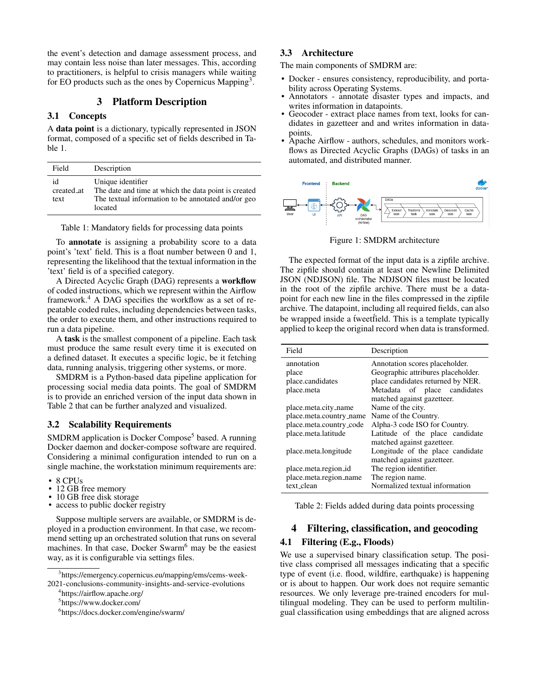the event's detection and damage assessment process, and may contain less noise than later messages. This, according to practitioners, is helpful to crisis managers while waiting for EO products such as the ones by Copernicus Mapping<sup>3</sup>.

### 3 Platform Description

# 3.1 Concepts

A data point is a dictionary, typically represented in JSON format, composed of a specific set of fields described in Table 1.

| Field                    | Description                                                                                                                                |
|--------------------------|--------------------------------------------------------------------------------------------------------------------------------------------|
| id<br>created at<br>text | Unique identifier<br>The date and time at which the data point is created<br>The textual information to be annotated and/or geo<br>located |

Table 1: Mandatory fields for processing data points

To annotate is assigning a probability score to a data point's 'text' field. This is a float number between 0 and 1, representing the likelihood that the textual information in the 'text' field is of a specified category.

A Directed Acyclic Graph (DAG) represents a workflow of coded instructions, which we represent within the Airflow framework.<sup>4</sup> A DAG specifies the workflow as a set of repeatable coded rules, including dependencies between tasks, the order to execute them, and other instructions required to run a data pipeline.

A task is the smallest component of a pipeline. Each task must produce the same result every time it is executed on a defined dataset. It executes a specific logic, be it fetching data, running analysis, triggering other systems, or more.

SMDRM is a Python-based data pipeline application for processing social media data points. The goal of SMDRM is to provide an enriched version of the input data shown in Table 2 that can be further analyzed and visualized.

#### 3.2 Scalability Requirements

SMDRM application is Docker Compose<sup>5</sup> based. A running Docker daemon and docker-compose software are required. Considering a minimal configuration intended to run on a single machine, the workstation minimum requirements are:

- 8 CPUs
- 12 GB free memory
- 10 GB free disk storage
- access to public docker registry

Suppose multiple servers are available, or SMDRM is deployed in a production environment. In that case, we recommend setting up an orchestrated solution that runs on several machines. In that case, Docker Swarm<sup>6</sup> may be the easiest way, as it is configurable via settings files.

### 3.3 Architecture

The main components of SMDRM are:

- Docker ensures consistency, reproducibility, and portability across Operating Systems.
- Annotators annotate disaster types and impacts, and writes information in datapoints.
- Geocoder extract place names from text, looks for candidates in gazetteer and and writes information in datapoints.
- Apache Airflow authors, schedules, and monitors workflows as Directed Acyclic Graphs (DAGs) of tasks in an automated, and distributed manner.



Figure 1: SMDRM architecture

The expected format of the input data is a zipfile archive. The zipfile should contain at least one Newline Delimited JSON (NDJSON) file. The NDJSON files must be located in the root of the zipfile archive. There must be a datapoint for each new line in the files compressed in the zipfile archive. The datapoint, including all required fields, can also be wrapped inside a tweetfield. This is a template typically applied to keep the original record when data is transformed.

| Field                   | Description                                                |  |  |  |  |
|-------------------------|------------------------------------------------------------|--|--|--|--|
| annotation              | Annotation scores placeholder.                             |  |  |  |  |
| place                   | Geographic attribures placeholder.                         |  |  |  |  |
| place.candidates        | place candidates returned by NER.                          |  |  |  |  |
| place.meta              | Metadata of place candidates<br>matched against gazetteer. |  |  |  |  |
| place.meta.city_name    | Name of the city.                                          |  |  |  |  |
| place.meta.country_name | Name of the Country.                                       |  |  |  |  |
| place.meta.country_code | Alpha-3 code ISO for Country.                              |  |  |  |  |
| place.meta.latitude     | Latitude of the place candidate                            |  |  |  |  |
|                         | matched against gazetteer.                                 |  |  |  |  |
| place.meta.longitude    | Longitude of the place candidate                           |  |  |  |  |
|                         | matched against gazetteer.                                 |  |  |  |  |
| place.meta.region_id    | The region identifier.                                     |  |  |  |  |
| place.meta.region_name  | The region name.                                           |  |  |  |  |
| text_clean              | Normalized textual information                             |  |  |  |  |

Table 2: Fields added during data points processing

### 4 Filtering, classification, and geocoding

#### 4.1 Filtering (E.g., Floods)

We use a supervised binary classification setup. The positive class comprised all messages indicating that a specific type of event (i.e. flood, wildfire, earthquake) is happening or is about to happen. Our work does not require semantic resources. We only leverage pre-trained encoders for multilingual modeling. They can be used to perform multilingual classification using embeddings that are aligned across

<sup>3</sup> https://emergency.copernicus.eu/mapping/ems/cems-week-2021-conclusions-community-insights-and-service-evolutions

<sup>4</sup> https://airflow.apache.org/

<sup>5</sup> https://www.docker.com/

<sup>6</sup> https://docs.docker.com/engine/swarm/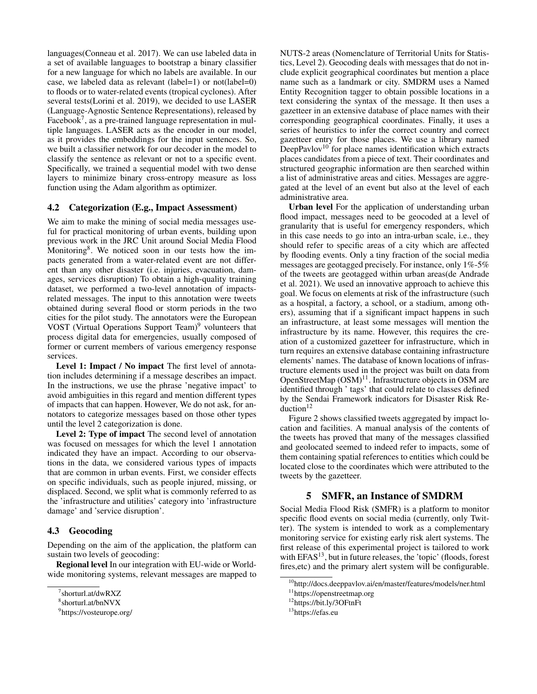languages(Conneau et al. 2017). We can use labeled data in a set of available languages to bootstrap a binary classifier for a new language for which no labels are available. In our case, we labeled data as relevant (label=1) or not(label=0) to floods or to water-related events (tropical cyclones). After several tests(Lorini et al. 2019), we decided to use LASER (Language-Agnostic Sentence Representations), released by Facebook<sup>7</sup>, as a pre-trained language representation in multiple languages. LASER acts as the encoder in our model, as it provides the embeddings for the input sentences. So, we built a classifier network for our decoder in the model to classify the sentence as relevant or not to a specific event. Specifically, we trained a sequential model with two dense layers to minimize binary cross-entropy measure as loss function using the Adam algorithm as optimizer.

#### 4.2 Categorization (E.g., Impact Assessment)

We aim to make the mining of social media messages useful for practical monitoring of urban events, building upon previous work in the JRC Unit around Social Media Flood Monitoring<sup>8</sup>. We noticed soon in our tests how the impacts generated from a water-related event are not different than any other disaster (i.e. injuries, evacuation, damages, services disruption) To obtain a high-quality training dataset, we performed a two-level annotation of impactsrelated messages. The input to this annotation were tweets obtained during several flood or storm periods in the two cities for the pilot study. The annotators were the European VOST (Virtual Operations Support Team)<sup>9</sup> volunteers that process digital data for emergencies, usually composed of former or current members of various emergency response services.

Level 1: Impact / No impact The first level of annotation includes determining if a message describes an impact. In the instructions, we use the phrase 'negative impact' to avoid ambiguities in this regard and mention different types of impacts that can happen. However, We do not ask, for annotators to categorize messages based on those other types until the level 2 categorization is done.

Level 2: Type of impact The second level of annotation was focused on messages for which the level 1 annotation indicated they have an impact. According to our observations in the data, we considered various types of impacts that are common in urban events. First, we consider effects on specific individuals, such as people injured, missing, or displaced. Second, we split what is commonly referred to as the 'infrastructure and utilities' category into 'infrastructure damage' and 'service disruption'.

#### 4.3 Geocoding

Depending on the aim of the application, the platform can sustain two levels of geocoding:

Regional level In our integration with EU-wide or Worldwide monitoring systems, relevant messages are mapped to NUTS-2 areas (Nomenclature of Territorial Units for Statistics, Level 2). Geocoding deals with messages that do not include explicit geographical coordinates but mention a place name such as a landmark or city. SMDRM uses a Named Entity Recognition tagger to obtain possible locations in a text considering the syntax of the message. It then uses a gazetteer in an extensive database of place names with their corresponding geographical coordinates. Finally, it uses a series of heuristics to infer the correct country and correct gazetteer entry for those places. We use a library named  $DeepPavlov<sup>10</sup>$  for place names identification which extracts places candidates from a piece of text. Their coordinates and structured geographic information are then searched within a list of administrative areas and cities. Messages are aggregated at the level of an event but also at the level of each administrative area.

Urban level For the application of understanding urban flood impact, messages need to be geocoded at a level of granularity that is useful for emergency responders, which in this case needs to go into an intra-urban scale, i.e., they should refer to specific areas of a city which are affected by flooding events. Only a tiny fraction of the social media messages are geotagged precisely. For instance, only 1%-5% of the tweets are geotagged within urban areas(de Andrade et al. 2021). We used an innovative approach to achieve this goal. We focus on elements at risk of the infrastructure (such as a hospital, a factory, a school, or a stadium, among others), assuming that if a significant impact happens in such an infrastructure, at least some messages will mention the infrastructure by its name. However, this requires the creation of a customized gazetteer for infrastructure, which in turn requires an extensive database containing infrastructure elements' names. The database of known locations of infrastructure elements used in the project was built on data from OpenStreetMap (OSM)<sup>11</sup>. Infrastructure objects in OSM are identified through ' tags' that could relate to classes defined by the Sendai Framework indicators for Disaster Risk Reduction<sup>12</sup>

Figure 2 shows classified tweets aggregated by impact location and facilities. A manual analysis of the contents of the tweets has proved that many of the messages classified and geolocated seemed to indeed refer to impacts, some of them containing spatial references to entities which could be located close to the coordinates which were attributed to the tweets by the gazetteer.

## 5 SMFR, an Instance of SMDRM

Social Media Flood Risk (SMFR) is a platform to monitor specific flood events on social media (currently, only Twitter). The system is intended to work as a complementary monitoring service for existing early risk alert systems. The first release of this experimental project is tailored to work with EFAS<sup>13</sup>, but in future releases, the 'topic' (floods, forest fires,etc) and the primary alert system will be configurable.

<sup>7</sup> shorturl.at/dwRXZ

<sup>8</sup> shorturl.at/bnNVX

<sup>&</sup>lt;sup>9</sup>https://vosteurope.org/

<sup>&</sup>lt;sup>10</sup>http://docs.deeppavlov.ai/en/master/features/models/ner.html

<sup>11</sup>https://openstreetmap.org

<sup>12</sup>https://bit.ly/3OFtnFt

<sup>13</sup>https://efas.eu